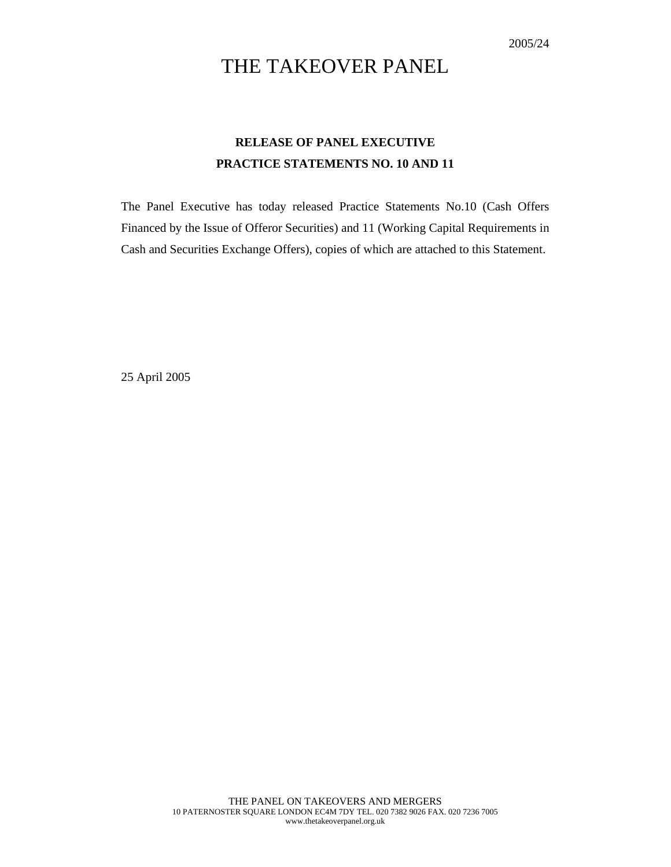## THE TAKEOVER PANEL

### **RELEASE OF PANEL EXECUTIVE PRACTICE STATEMENTS NO. 10 AND 11**

The Panel Executive has today released Practice Statements No.10 (Cash Offers Financed by the Issue of Offeror Securities) and 11 (Working Capital Requirements in Cash and Securities Exchange Offers), copies of which are attached to this Statement.

25 April 2005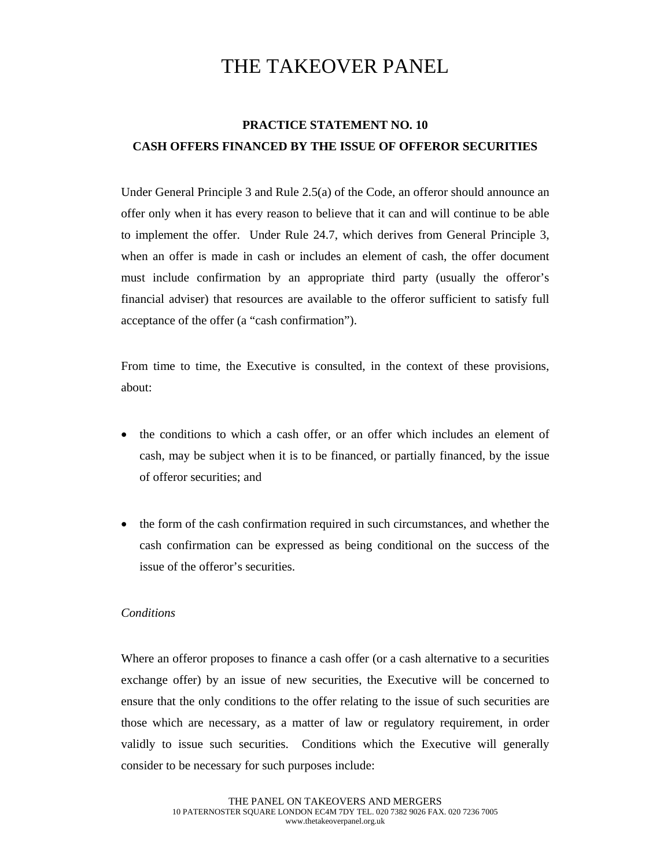# THE TAKEOVER PANEL

### **PRACTICE STATEMENT NO. 10 CASH OFFERS FINANCED BY THE ISSUE OF OFFEROR SECURITIES**

Under General Principle 3 and Rule 2.5(a) of the Code, an offeror should announce an offer only when it has every reason to believe that it can and will continue to be able to implement the offer. Under Rule 24.7, which derives from General Principle 3, when an offer is made in cash or includes an element of cash, the offer document must include confirmation by an appropriate third party (usually the offeror's financial adviser) that resources are available to the offeror sufficient to satisfy full acceptance of the offer (a "cash confirmation").

From time to time, the Executive is consulted, in the context of these provisions, about:

- the conditions to which a cash offer, or an offer which includes an element of cash, may be subject when it is to be financed, or partially financed, by the issue of offeror securities; and
- the form of the cash confirmation required in such circumstances, and whether the cash confirmation can be expressed as being conditional on the success of the issue of the offeror's securities.

#### *Conditions*

Where an offeror proposes to finance a cash offer (or a cash alternative to a securities exchange offer) by an issue of new securities, the Executive will be concerned to ensure that the only conditions to the offer relating to the issue of such securities are those which are necessary, as a matter of law or regulatory requirement, in order validly to issue such securities. Conditions which the Executive will generally consider to be necessary for such purposes include: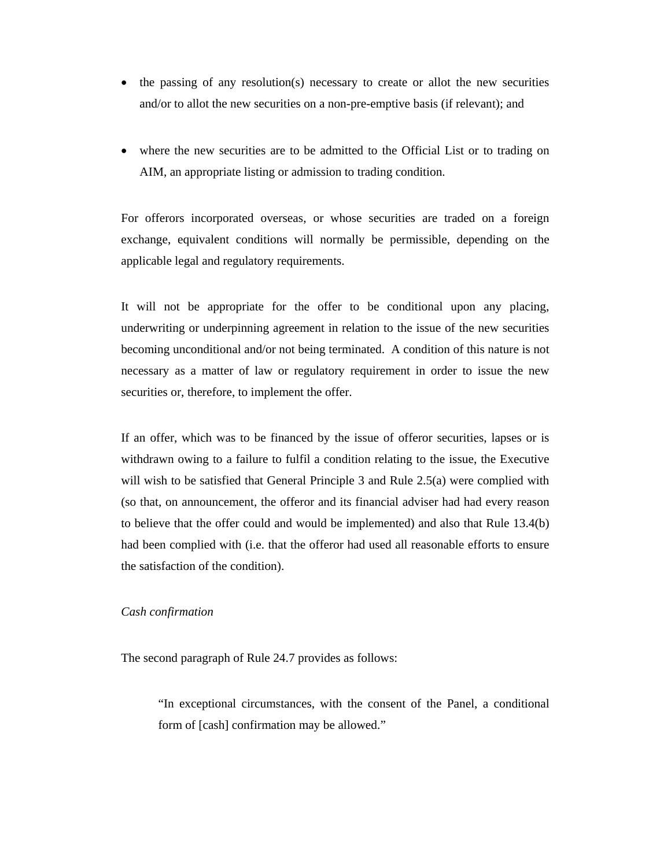- the passing of any resolution(s) necessary to create or allot the new securities and/or to allot the new securities on a non-pre-emptive basis (if relevant); and
- where the new securities are to be admitted to the Official List or to trading on AIM, an appropriate listing or admission to trading condition.

For offerors incorporated overseas, or whose securities are traded on a foreign exchange, equivalent conditions will normally be permissible, depending on the applicable legal and regulatory requirements.

It will not be appropriate for the offer to be conditional upon any placing, underwriting or underpinning agreement in relation to the issue of the new securities becoming unconditional and/or not being terminated. A condition of this nature is not necessary as a matter of law or regulatory requirement in order to issue the new securities or, therefore, to implement the offer.

If an offer, which was to be financed by the issue of offeror securities, lapses or is withdrawn owing to a failure to fulfil a condition relating to the issue, the Executive will wish to be satisfied that General Principle 3 and Rule 2.5(a) were complied with (so that, on announcement, the offeror and its financial adviser had had every reason to believe that the offer could and would be implemented) and also that Rule 13.4(b) had been complied with (i.e. that the offeror had used all reasonable efforts to ensure the satisfaction of the condition).

#### *Cash confirmation*

The second paragraph of Rule 24.7 provides as follows:

"In exceptional circumstances, with the consent of the Panel, a conditional form of [cash] confirmation may be allowed."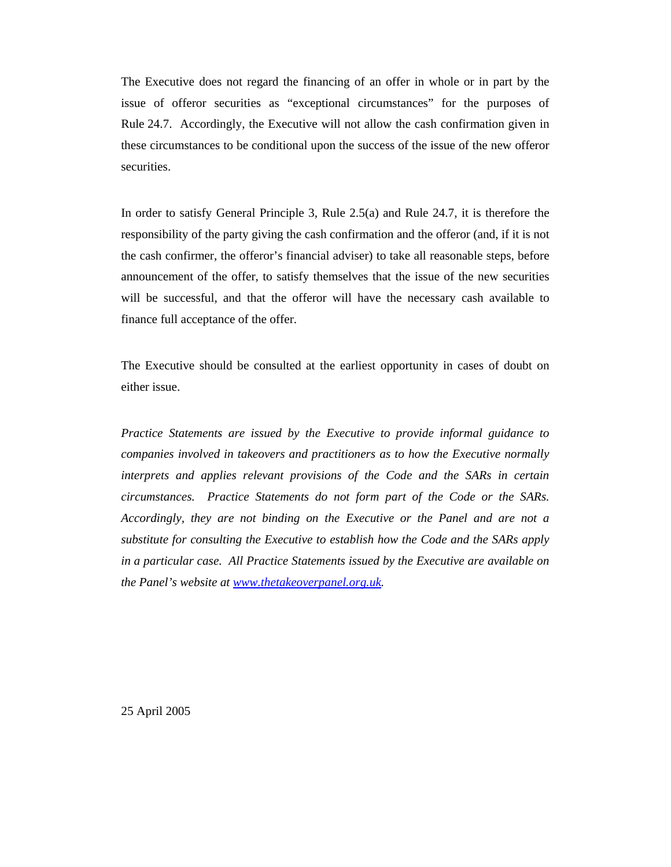The Executive does not regard the financing of an offer in whole or in part by the issue of offeror securities as "exceptional circumstances" for the purposes of Rule 24.7. Accordingly, the Executive will not allow the cash confirmation given in these circumstances to be conditional upon the success of the issue of the new offeror securities.

In order to satisfy General Principle 3, Rule 2.5(a) and Rule 24.7, it is therefore the responsibility of the party giving the cash confirmation and the offeror (and, if it is not the cash confirmer, the offeror's financial adviser) to take all reasonable steps, before announcement of the offer, to satisfy themselves that the issue of the new securities will be successful, and that the offeror will have the necessary cash available to finance full acceptance of the offer.

The Executive should be consulted at the earliest opportunity in cases of doubt on either issue.

*Practice Statements are issued by the Executive to provide informal guidance to companies involved in takeovers and practitioners as to how the Executive normally interprets and applies relevant provisions of the Code and the SARs in certain circumstances. Practice Statements do not form part of the Code or the SARs. Accordingly, they are not binding on the Executive or the Panel and are not a substitute for consulting the Executive to establish how the Code and the SARs apply in a particular case. All Practice Statements issued by the Executive are available on the Panel's website at www.thetakeoverpanel.org.uk.* 

25 April 2005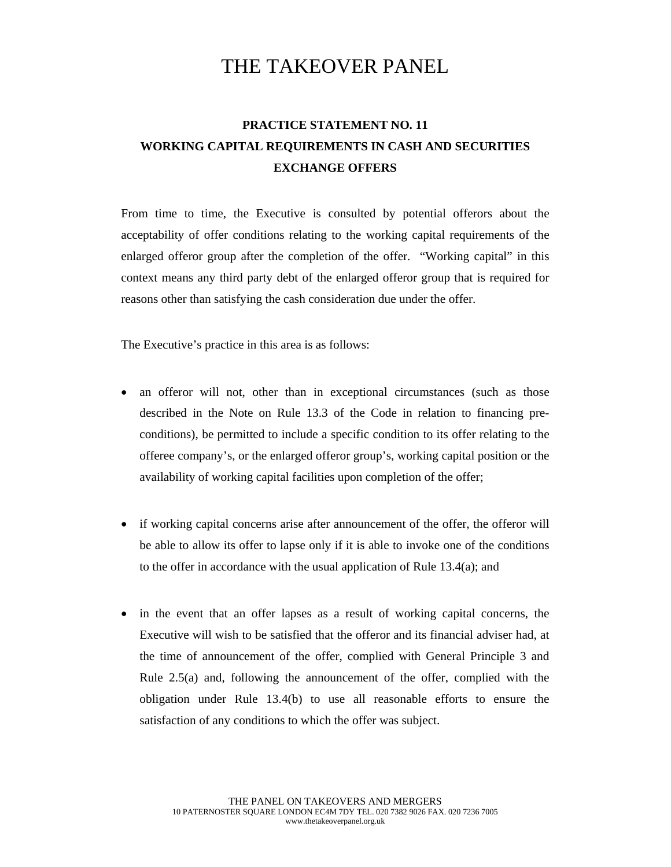## THE TAKEOVER PANEL

### **PRACTICE STATEMENT NO. 11 WORKING CAPITAL REQUIREMENTS IN CASH AND SECURITIES EXCHANGE OFFERS**

From time to time, the Executive is consulted by potential offerors about the acceptability of offer conditions relating to the working capital requirements of the enlarged offeror group after the completion of the offer. "Working capital" in this context means any third party debt of the enlarged offeror group that is required for reasons other than satisfying the cash consideration due under the offer.

The Executive's practice in this area is as follows:

- an offeror will not, other than in exceptional circumstances (such as those described in the Note on Rule 13.3 of the Code in relation to financing preconditions), be permitted to include a specific condition to its offer relating to the offeree company's, or the enlarged offeror group's, working capital position or the availability of working capital facilities upon completion of the offer;
- if working capital concerns arise after announcement of the offer, the offeror will be able to allow its offer to lapse only if it is able to invoke one of the conditions to the offer in accordance with the usual application of Rule 13.4(a); and
- in the event that an offer lapses as a result of working capital concerns, the Executive will wish to be satisfied that the offeror and its financial adviser had, at the time of announcement of the offer, complied with General Principle 3 and Rule 2.5(a) and, following the announcement of the offer, complied with the obligation under Rule 13.4(b) to use all reasonable efforts to ensure the satisfaction of any conditions to which the offer was subject.